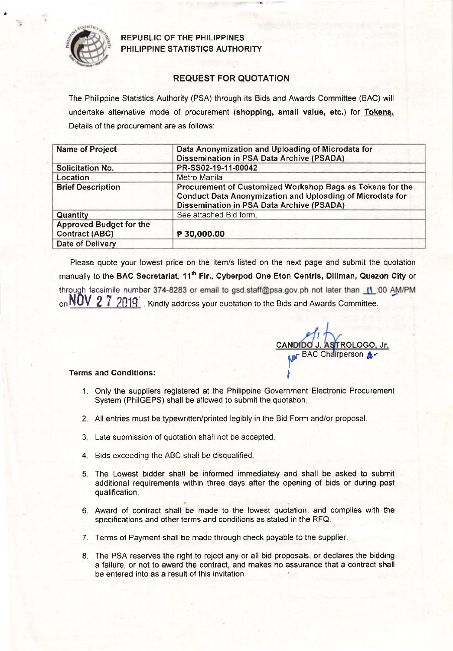

REPUBLIC OF THE PHILIPPINES PHILIPPINE STATISTICS AUTHORITY

## REQUEST FOR QUOTATION

The Philippine Statistics Authority (PSA) through its Bids and Awards Committee (BAC) will undertake alternative mode of procurement (shopping, small value, etc.) for Tokens. Details of the procurement are as follows:

| <b>Name of Project</b>         | Data Anonymization and Uploading of Microdata for                                                                                                                                 |  |  |  |  |
|--------------------------------|-----------------------------------------------------------------------------------------------------------------------------------------------------------------------------------|--|--|--|--|
|                                | <b>Dissemination in PSA Data Archive (PSADA)</b>                                                                                                                                  |  |  |  |  |
| <b>Solicitation No.</b>        | PR-SS02-19-11-00042                                                                                                                                                               |  |  |  |  |
| Location                       | Metro Manila                                                                                                                                                                      |  |  |  |  |
| <b>Brief Description</b>       | Procurement of Customized Workshop Bags as Tokens for the<br><b>Conduct Data Anonymization and Uploading of Microdata for</b><br><b>Dissemination in PSA Data Archive (PSADA)</b> |  |  |  |  |
| Quantity                       | See attached Bid form.                                                                                                                                                            |  |  |  |  |
| <b>Approved Budget for the</b> |                                                                                                                                                                                   |  |  |  |  |
| <b>Contract (ABC)</b>          | P 30,000.00                                                                                                                                                                       |  |  |  |  |
| Date of Delivery               |                                                                                                                                                                                   |  |  |  |  |

Please quote your lowest price on the item/s listed on the next page and submit the quotation manually to the BAC Secretariat, 11<sup>th</sup> Flr., Cyberpod One Eton Centris, Diliman, Quezon City or through facsimile number 374-8283 or email to gsd.staff@psa.gov.ph not later than (1:00 AM/PM on  $NOV 2 7 2019$ . Kindly address your quotation to the Bids and Awards Committee.

TROLOGO, Jr. **AUF** BAC Chairperson & I

## Terms and Conditions:

- 1. Only the suppliers registered at the Philippine Government Electronic Procurement System (PhilGEPS) shall be allowed to submit the quotation.
- 2. All entries must be typewritten/printed legibly in the Bid Form and/or proposal.
- 3 Late submission of quotation shall not be accepted
- 4. Bids exceeding the ABC shall be disqualified.
- 5. The Lowest bidder shall be informed immediately and shall be asked to submrt additional requirements within three days after the opening of bids or during post qualification.
- 6. Award of contract shall be made to the lowest quotation, and complies with the specifications and other terms and conditions as stated in the RFQ.
- 7. Terms of Payment shall be made through check payable to the supplier.
- 8. The PSA reserves the right to reject any or all bid proposals, or declares the bidding a failure, or not to award the contract, and makes no assurance that a contract shall be entered into as a result of this invitation.